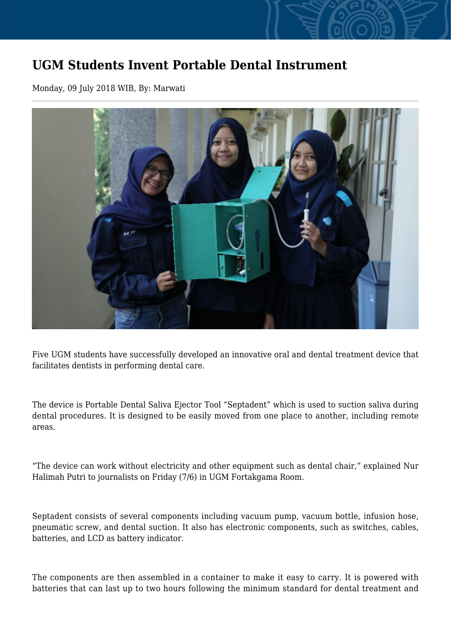## **UGM Students Invent Portable Dental Instrument**

Monday, 09 July 2018 WIB, By: Marwati



Five UGM students have successfully developed an innovative oral and dental treatment device that facilitates dentists in performing dental care.

The device is Portable Dental Saliva Ejector Tool "Septadent" which is used to suction saliva during dental procedures. It is designed to be easily moved from one place to another, including remote areas.

"The device can work without electricity and other equipment such as dental chair," explained Nur Halimah Putri to journalists on Friday (7/6) in UGM Fortakgama Room.

Septadent consists of several components including vacuum pump, vacuum bottle, infusion hose, pneumatic screw, and dental suction. It also has electronic components, such as switches, cables, batteries, and LCD as battery indicator.

The components are then assembled in a container to make it easy to carry. It is powered with batteries that can last up to two hours following the minimum standard for dental treatment and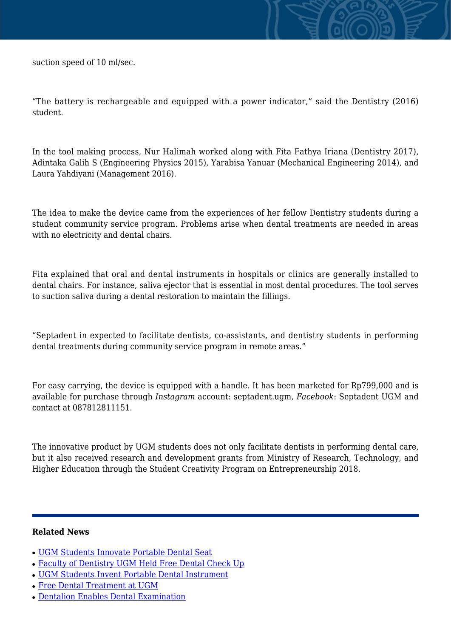suction speed of 10 ml/sec.

"The battery is rechargeable and equipped with a power indicator," said the Dentistry (2016) student.

In the tool making process, Nur Halimah worked along with Fita Fathya Iriana (Dentistry 2017), Adintaka Galih S (Engineering Physics 2015), Yarabisa Yanuar (Mechanical Engineering 2014), and Laura Yahdiyani (Management 2016).

The idea to make the device came from the experiences of her fellow Dentistry students during a student community service program. Problems arise when dental treatments are needed in areas with no electricity and dental chairs.

Fita explained that oral and dental instruments in hospitals or clinics are generally installed to dental chairs. For instance, saliva ejector that is essential in most dental procedures. The tool serves to suction saliva during a dental restoration to maintain the fillings.

"Septadent in expected to facilitate dentists, co-assistants, and dentistry students in performing dental treatments during community service program in remote areas."

For easy carrying, the device is equipped with a handle. It has been marketed for Rp799,000 and is available for purchase through *Instagram* account: septadent.ugm, *Facebook*: Septadent UGM and contact at 087812811151.

The innovative product by UGM students does not only facilitate dentists in performing dental care, but it also received research and development grants from Ministry of Research, Technology, and Higher Education through the Student Creativity Program on Entrepreneurship 2018.

## **Related News**

- [UGM Students Innovate Portable Dental Seat](http://ugm.ac.id/www.ugm.ac.id//en/news/16473-ugm-students-invent-portable-dental-instrument)
- [Faculty of Dentistry UGM Held Free Dental Check Up](http://ugm.ac.id/www.ugm.ac.id//en/news/9290-free-dental-treatment-at-ugm)
- [UGM Students Invent Portable Dental Instrument](http://ugm.ac.id/www.ugm.ac.id//en/news/9073-dentalion-enables-dental-examination)
- [Free Dental Treatment at UGM](http://ugm.ac.id/www.ugm.ac.id//en/news/18235-ugm-students-innovate-portable-dental-seat)
- [Dentalion Enables Dental Examination](http://ugm.ac.id/www.ugm.ac.id//en/news/5548-faculty-of-dentistry-ugm-held-free-dental-check-up)